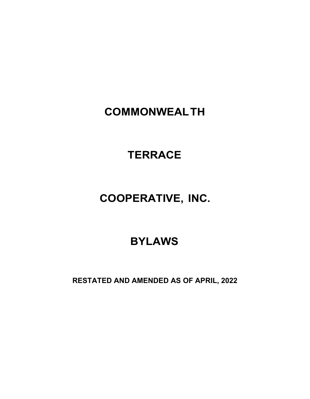## **COMMONWEALTH**

# **TERRACE**

# **COOPERATIVE, INC.**

## **BYLAWS**

**RESTATED AND AMENDED AS OF APRIL, 2022**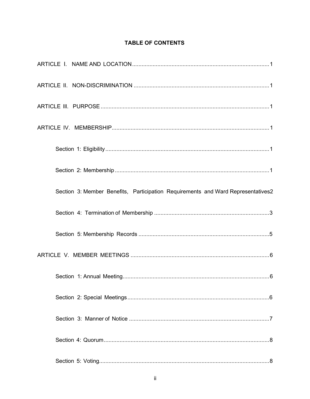## TABLE OF CONTENTS

| Section 3: Member Benefits, Participation Requirements and Ward Representatives2 |
|----------------------------------------------------------------------------------|
|                                                                                  |
|                                                                                  |
|                                                                                  |
|                                                                                  |
|                                                                                  |
|                                                                                  |
|                                                                                  |
|                                                                                  |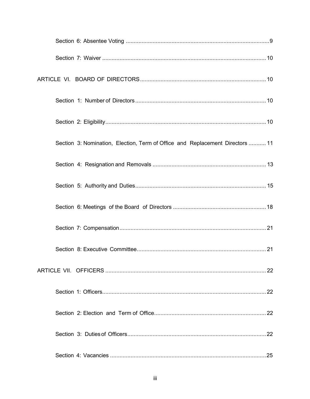| Section 3: Nomination, Election, Term of Office and Replacement Directors  11 |
|-------------------------------------------------------------------------------|
|                                                                               |
|                                                                               |
|                                                                               |
|                                                                               |
|                                                                               |
|                                                                               |
|                                                                               |
|                                                                               |
|                                                                               |
|                                                                               |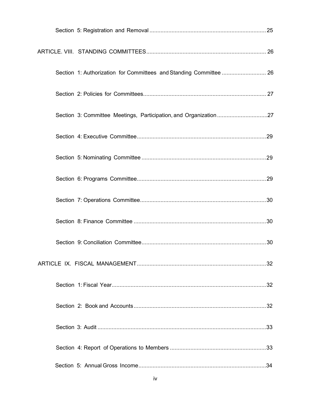| Section 1: Authorization for Committees and Standing Committee  26 |  |
|--------------------------------------------------------------------|--|
|                                                                    |  |
| Section 3: Committee Meetings, Participation, and Organization27   |  |
|                                                                    |  |
|                                                                    |  |
|                                                                    |  |
|                                                                    |  |
|                                                                    |  |
|                                                                    |  |
|                                                                    |  |
|                                                                    |  |
|                                                                    |  |
|                                                                    |  |
|                                                                    |  |
|                                                                    |  |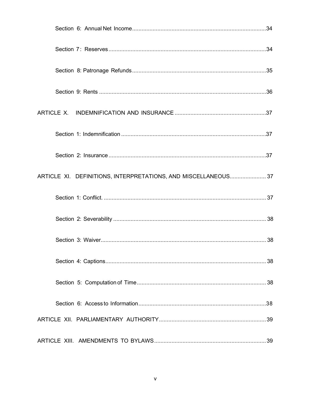| ARTICLE XI. DEFINITIONS, INTERPRETATIONS, AND MISCELLANEOUS 37 |  |
|----------------------------------------------------------------|--|
|                                                                |  |
|                                                                |  |
|                                                                |  |
|                                                                |  |
|                                                                |  |
|                                                                |  |
|                                                                |  |
|                                                                |  |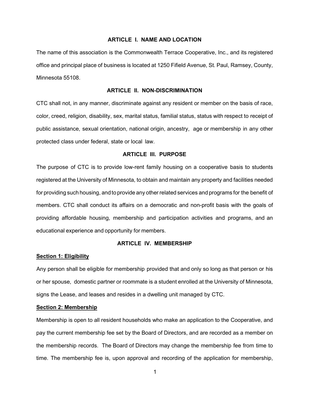## **ARTICLE I. NAME AND LOCATION**

The name of this association is the Commonwealth Terrace Cooperative, Inc., and its registered office and principal place of business is located at 1250 Fifield Avenue, St. Paul, Ramsey, County, Minnesota 55108.

### **ARTICLE II. NON-DISCRIMINATION**

CTC shall not, in any manner, discriminate against any resident or member on the basis of race, color, creed, religion, disability, sex, marital status, familial status, status with respect to receipt of public assistance, sexual orientation, national origin, ancestry, age or membership in any other protected class under federal, state or local law.

## **ARTICLE Ill. PURPOSE**

The purpose of CTC is to provide low-rent family housing on a cooperative basis to students registered at the University of Minnesota, to obtain and maintain any property and facilities needed for providing such housing, andto provide any other related services and programs for the benefit of members. CTC shall conduct its affairs on a democratic and non-profit basis with the goals of providing affordable housing, membership and participation activities and programs, and an educational experience and opportunity for members.

## **ARTICLE IV. MEMBERSHIP**

#### **Section 1: Eligibility**

Any person shall be eligible for membership provided that and only so long as that person or his or her spouse, domestic partner or roommate is a student enrolled at the University of Minnesota, signs the Lease, and leases and resides in a dwelling unit managed by CTC.

## **Section 2: Membership**

Membership is open to all resident households who make an application to the Cooperative, and pay the current membership fee set by the Board of Directors, and are recorded as a member on the membership records. The Board of Directors may change the membership fee from time to time. The membership fee is, upon approval and recording of the application for membership,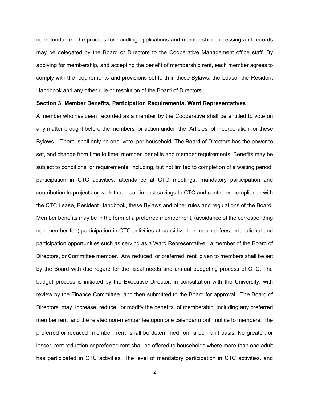nonrefundable. The process for handling applications and membership processing and records may be delegated by the Board or Directors to the Cooperative Management office staff. By applying for membership, and accepting the benefit of membership rent, each member agrees to comply with the requirements and provisions set forth in these Bylaws, the Lease, the Resident Handbook and any other rule or resolution of the Board of Directors.

#### **Section 3: Member Benefits, Participation Requirements, Ward Representatives**

A member who has been recorded as a member by the Cooperative shall be entitled to vote on any matter brought before the members for action under the Articles of Incorporation or these Bylaws. There shall only be one vote per household. The Board of Directors has the power to set, and change from time to time, member benefits and member requirements. Benefits may be subject to conditions or requirements including, but not limited to completion of a waiting period, participation in CTC activities, attendance at CTC meetings, mandatory participation and contribution to projects or work that result in cost savings to CTC and continued compliance with the CTC Lease, Resident Handbook, these Bylaws and other rules and regulations of the Board. Member benefits may be in the form of a preferred member rent, (avoidance of the corresponding non-member fee) participation in CTC activities at subsidized or reduced fees, educational and participation opportunities such as serving as a Ward Representative, a member of the Board of Directors, or Committee member. Any reduced or preferred rent given to members shall be set by the Board with due regard for the fiscal needs and annual budgeting process of CTC. The budget process is initiated by the Executive Director, in consultation with the University, with review by the Finance Committee and then submitted to the Board for approval. The Board of Directors may increase, reduce, or modify the benefits of membership, including any preferred member rent and the related non-member fee upon one calendar month notice to members. The preferred or reduced member rent shall be determined on a per unit basis. No greater, or lesser, rent reduction or preferred rent shall be offered to households where more than one adult has participated in CTC activities. The level of mandatory participation in CTC activities, and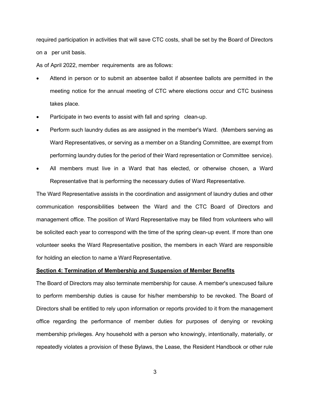required participation in activities that will save CTC costs, shall be set by the Board of Directors on a per unit basis.

As of April 2022, member requirements are as follows:

- Attend in person or to submit an absentee ballot if absentee ballots are permitted in the meeting notice for the annual meeting of CTC where elections occur and CTC business takes place.
- Participate in two events to assist with fall and spring clean-up.
- Perform such laundry duties as are assigned in the member's Ward. (Members serving as Ward Representatives, or serving as a member on a Standing Committee, are exempt from performing laundry duties for the period of their Ward representation or Committee service).
- All members must live in a Ward that has elected, or otherwise chosen, a Ward Representative that is performing the necessary duties of Ward Representative.

The Ward Representative assists in the coordination and assignment of laundry duties and other communication responsibilities between the Ward and the CTC Board of Directors and management office. The position of Ward Representative may be filled from volunteers who will be solicited each year to correspond with the time of the spring clean-up event. If more than one volunteer seeks the Ward Representative position, the members in each Ward are responsible for holding an election to name a Ward Representative.

## **Section 4: Termination of Membership and Suspension of Member Benefits**

The Board of Directors may also terminate membership for cause. A member's unexcused failure to perform membership duties is cause for his/her membership to be revoked. The Board of Directors shall be entitled to rely upon information or reports provided to it from the management office regarding the performance of member duties for purposes of denying or revoking membership privileges. Any household with a person who knowingly, intentionally, materially, or repeatedly violates a provision of these Bylaws, the Lease, the Resident Handbook or other rule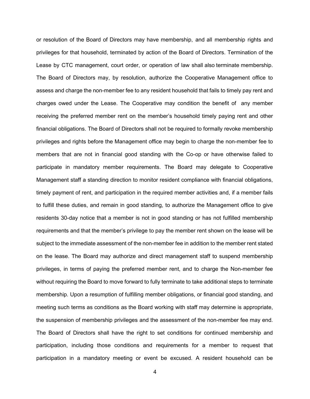or resolution of the Board of Directors may have membership, and all membership rights and privileges for that household, terminated by action of the Board of Directors. Termination of the Lease by CTC management, court order, or operation of law shall also terminate membership. The Board of Directors may, by resolution, authorize the Cooperative Management office to assess and charge the non-member fee to any resident household that fails to timely pay rent and charges owed under the Lease. The Cooperative may condition the benefit of any member receiving the preferred member rent on the member's household timely paying rent and other financial obligations. The Board of Directors shall not be required to formally revoke membership privileges and rights before the Management office may begin to charge the non-member fee to members that are not in financial good standing with the Co-op or have otherwise failed to participate in mandatory member requirements. The Board may delegate to Cooperative Management staff a standing direction to monitor resident compliance with financial obligations, timely payment of rent, and participation in the required member activities and, if a member fails to fulfill these duties, and remain in good standing, to authorize the Management office to give residents 30-day notice that a member is not in good standing or has not fulfilled membership requirements and that the member's privilege to pay the member rent shown on the lease will be subject to the immediate assessment of the non-member fee in addition to the member rent stated on the lease. The Board may authorize and direct management staff to suspend membership privileges, in terms of paying the preferred member rent, and to charge the Non-member fee without requiring the Board to move forward to fully terminate to take additional steps to terminate membership. Upon a resumption of fulfilling member obligations, or financial good standing, and meeting such terms as conditions as the Board working with staff may determine is appropriate, the suspension of membership privileges and the assessment of the non-member fee may end. The Board of Directors shall have the right to set conditions for continued membership and participation, including those conditions and requirements for a member to request that participation in a mandatory meeting or event be excused. A resident household can be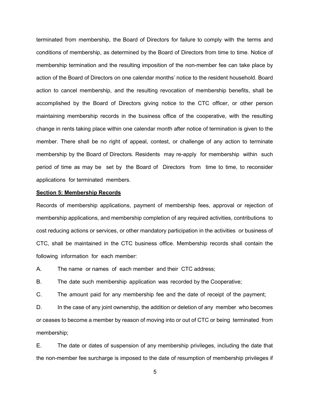terminated from membership, the Board of Directors for failure to comply with the terms and conditions of membership, as determined by the Board of Directors from time to time. Notice of membership termination and the resulting imposition of the non-member fee can take place by action of the Board of Directors on one calendar months' notice to the resident household. Board action to cancel membership, and the resulting revocation of membership benefits, shall be accomplished by the Board of Directors giving notice to the CTC officer, or other person maintaining membership records in the business office of the cooperative, with the resulting change in rents taking place within one calendar month after notice of termination is given to the member. There shall be no right of appeal, contest, or challenge of any action to terminate membership by the Board of Directors. Residents may re-apply for membership within such period of time as may be set by the Board of Directors from time to time, to reconsider applications for terminated members.

#### **Section 5: Membership Records**

Records of membership applications, payment of membership fees, approval or rejection of membership applications, and membership completion of any required activities, contributions to cost reducing actions or services, or other mandatory participation in the activities or business of CTC, shall be maintained in the CTC business office. Membership records shall contain the following information for each member:

A. The name or names of each member and their CTC address;

B. The date such membership application was recorded by the Cooperative;

C. The amount paid for any membership fee and the date of receipt of the payment;

D. In the case of any joint ownership, the addition or deletion of any member who becomes or ceases to become a member by reason of moving into or out of CTC or being terminated from membership;

E. The date or dates of suspension of any membership privileges, including the date that the non-member fee surcharge is imposed to the date of resumption of membership privileges if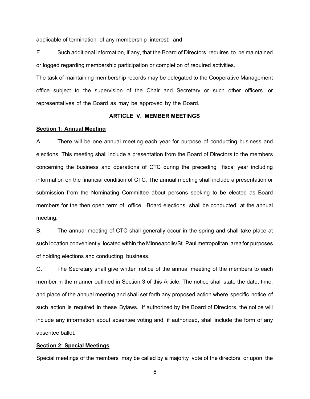applicable of termination of any membership interest; and

F. Such additional information, if any, that the Board of Directors requires to be maintained or logged regarding membership participation or completion of required activities.

The task of maintaining membership records may be delegated to the Cooperative Management office subject to the supervision of the Chair and Secretary or such other officers or representatives of the Board as may be approved by the Board.

## **ARTICLE V. MEMBER MEETINGS**

#### **Section 1: Annual Meeting**

A. There will be one annual meeting each year for purpose of conducting business and elections. This meeting shall include a presentation from the Board of Directors to the members concerning the business and operations of CTC during the preceding fiscal year including information on the financial condition of CTC. The annual meeting shall include a presentation or submission from the Nominating Committee about persons seeking to be elected as Board members for the then open term of office. Board elections shall be conducted at the annual meeting.

B. The annual meeting of CTC shall generally occur in the spring and shall take place at such location conveniently located within the Minneapolis/St. Paul metropolitan area for purposes of holding elections and conducting business.

C. The Secretary shall give written notice of the annual meeting of the members to each member in the manner outlined in Section 3 of this Article. The notice shall state the date, time, and place of the annual meeting and shall set forth any proposed action where specific notice of such action is required in these Bylaws. If authorized by the Board of Directors, the notice will include any information about absentee voting and, if authorized, shall include the form of any absentee ballot.

#### **Section 2: Special Meetings**

Special meetings of the members may be called by a majority vote of the directors or upon the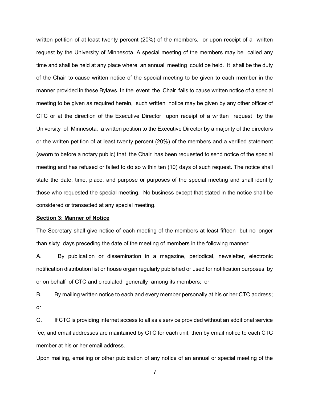written petition of at least twenty percent (20%) of the members, or upon receipt of a written request by the University of Minnesota. A special meeting of the members may be called any time and shall be held at any place where an annual meeting could be held. It shall be the duty of the Chair to cause written notice of the special meeting to be given to each member in the manner provided in these Bylaws. In the event the Chair fails to cause written notice of a special meeting to be given as required herein, such written notice may be given by any other officer of CTC or at the direction of the Executive Director upon receipt of a written request by the University of Minnesota, a written petition to the Executive Director by a majority of the directors or the written petition of at least twenty percent (20%) of the members and a verified statement (sworn to before a notary public) that the Chair has been requested to send notice of the special meeting and has refused or failed to do so within ten (10) days of such request. The notice shall state the date, time, place, and purpose or purposes of the special meeting and shall identify those who requested the special meeting. No business except that stated in the notice shall be considered or transacted at any special meeting.

#### **Section 3: Manner of Notice**

The Secretary shall give notice of each meeting of the members at least fifteen but no longer than sixty days preceding the date of the meeting of members in the following manner:

A. By publication or dissemination in a magazine, periodical, newsletter, electronic notification distribution list or house organ regularly published or used for notification purposes by or on behalf of CTC and circulated generally among its members; or

B. By mailing written notice to each and every member personally at his or her CTC address; or

C. If CTC is providing internet access to all as a service provided without an additional service fee, and email addresses are maintained by CTC for each unit, then by email notice to each CTC member at his or her email address.

Upon mailing, emailing or other publication of any notice of an annual or special meeting of the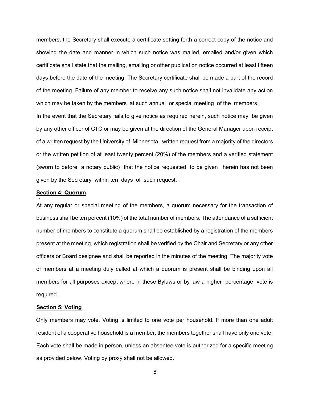members, the Secretary shall execute a certificate setting forth a correct copy of the notice and showing the date and manner in which such notice was mailed, emailed and/or given which certificate shall state that the mailing, emailing or other publication notice occurred at least fifteen days before the date of the meeting. The Secretary certificate shall be made a part of the record of the meeting. Failure of any member to receive any such notice shall not invalidate any action which may be taken by the members at such annual or special meeting of the members. In the event that the Secretary fails to give notice as required herein, such notice may be given by any other officer of CTC or may be given at the direction of the General Manager upon receipt of a written request by the University of Minnesota, written request from a majority of the directors or the written petition of at least twenty percent (20%) of the members and a verified statement (sworn to before a notary public) that the notice requested to be given herein has not been

#### **Section 4: Quorum**

given by the Secretary within ten days of such request.

At any regular or special meeting of the members, a quorum necessary for the transaction of business shall be ten percent (10%) of the total number of members. The attendance of a sufficient number of members to constitute a quorum shall be established by a registration of the members present at the meeting, which registration shall be verified by the Chair and Secretary or any other officers or Board designee and shall be reported in the minutes of the meeting. The majority vote of members at a meeting duly called at which a quorum is present shall be binding upon all members for all purposes except where in these Bylaws or by law a higher percentage vote is required.

## **Section 5: Voting**

Only members may vote. Voting is limited to one vote per household. If more than one adult resident of a cooperative household is a member, the members together shall have only one vote. Each vote shall be made in person, unless an absentee vote is authorized for a specific meeting as provided below. Voting by proxy shall not be allowed.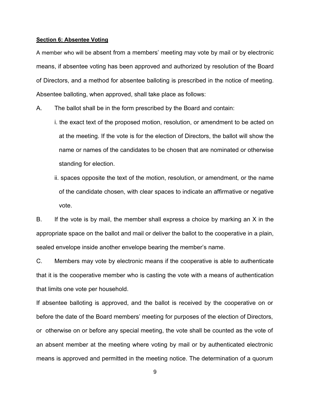## **Section 6: Absentee Voting**

A member who will be absent from a members' meeting may vote by mail or by electronic means, if absentee voting has been approved and authorized by resolution of the Board of Directors, and a method for absentee balloting is prescribed in the notice of meeting. Absentee balloting, when approved, shall take place as follows:

- A. The ballot shall be in the form prescribed by the Board and contain:
	- i. the exact text of the proposed motion, resolution, or amendment to be acted on at the meeting. If the vote is for the election of Directors, the ballot will show the name or names of the candidates to be chosen that are nominated or otherwise standing for election.
	- ii. spaces opposite the text of the motion, resolution, or amendment, or the name of the candidate chosen, with clear spaces to indicate an affirmative or negative vote.

B. If the vote is by mail, the member shall express a choice by marking an X in the appropriate space on the ballot and mail or deliver the ballot to the cooperative in a plain, sealed envelope inside another envelope bearing the member's name.

C. Members may vote by electronic means if the cooperative is able to authenticate that it is the cooperative member who is casting the vote with a means of authentication that limits one vote per household.

If absentee balloting is approved, and the ballot is received by the cooperative on or before the date of the Board members' meeting for purposes of the election of Directors, or otherwise on or before any special meeting, the vote shall be counted as the vote of an absent member at the meeting where voting by mail or by authenticated electronic means is approved and permitted in the meeting notice. The determination of a quorum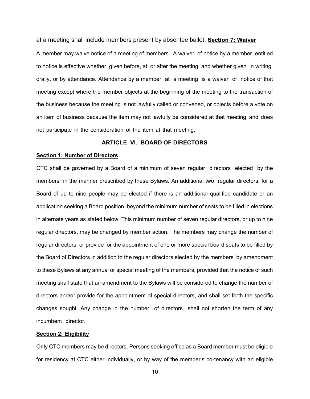at a meeting shall include members present by absentee ballot. **Section 7: Waiver**

A member may waive notice of a meeting of members. A waiver of notice by a member entitled to notice is effective whether given before, at, or after the meeting, and whether given in writing, orally, or by attendance. Attendance by a member at a meeting is a waiver of notice of that meeting except where the member objects at the beginning of the meeting to the transaction of the business because the meeting is not lawfully called or convened, or objects before a vote on an item of business because the item may not lawfully be considered at that meeting and does not participate in the consideration of the item at that meeting.

## **ARTICLE VI. BOARD OF DIRECTORS**

## **Section 1: Number of Directors**

CTC shall be governed by a Board of a minimum of seven regular directors elected by the members in the manner prescribed by these Bylaws. An additional two regular directors, for a Board of up to nine people may be elected if there is an additional qualified candidate or an application seeking a Board position, beyond the minimum number of seats to be filled in elections in alternate years as stated below. This minimum number of seven regular directors, or up to nine regular directors, may be changed by member action. The members may change the number of regular directors, or provide for the appointment of one or more special board seats to be filled by the Board of Directors in addition to the regular directors elected by the members by amendment to these Bylaws at any annual or special meeting of the members, provided that the notice of such meeting shall state that an amendment to the Bylaws will be considered to change the number of directors and/or provide for the appointment of special directors, and shall set forth the specific changes sought. Any change in the number of directors shall not shorten the term of any incumbent director.

#### **Section 2: Eligibility**

Only CTC members may be directors. Persons seeking office as a Board member must be eligible for residency at CTC either individually, or by way of the member's co-tenancy with an eligible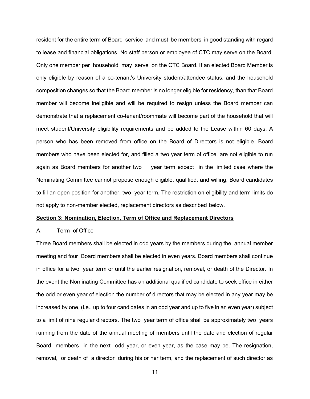resident for the entire term of Board service and must be members in good standing with regard to lease and financial obligations. No staff person or employee of CTC may serve on the Board. Only one member per household may serve on the CTC Board. If an elected Board Member is only eligible by reason of a co-tenant's University student/attendee status, and the household composition changes so that the Board member is no longer eligible for residency, than that Board member will become ineligible and will be required to resign unless the Board member can demonstrate that a replacement co-tenant/roommate will become part of the household that will meet student/University eligibility requirements and be added to the Lease within 60 days. A person who has been removed from office on the Board of Directors is not eligible. Board members who have been elected for, and filled a two year term of office, are not eligible to run again as Board members for another two year term except in the limited case where the Nominating Committee cannot propose enough eligible, qualified, and willing, Board candidates to fill an open position for another, two year term. The restriction on eligibility and term limits do not apply to non-member elected, replacement directors as described below.

## **Section 3: Nomination, Election, Term of Office and Replacement Directors**

#### A. Term of Office

Three Board members shall be elected in odd years by the members during the annual member meeting and four Board members shall be elected in even years. Board members shall continue in office for a two year term or until the earlier resignation, removal, or death of the Director. In the event the Nominating Committee has an additional qualified candidate to seek office in either the odd or even year of election the number of directors that may be elected in any year may be increased by one, (i.e., up to four candidates in an odd year and up to five in an even year) subject to a limit of nine regular directors. The two year term of office shall be approximately two years running from the date of the annual meeting of members until the date and election of regular Board members in the next odd year, or even year, as the case may be. The resignation, removal, or death of a director during his or her term, and the replacement of such director as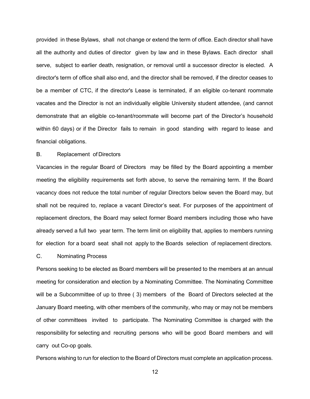provided in these Bylaws, shall not change or extend the term of office. Each director shall have all the authority and duties of director given by law and in these Bylaws. Each director shall serve, subject to earlier death, resignation, or removal until a successor director is elected. A director's term of office shall also end, and the director shall be removed, if the director ceases to be a member of CTC, if the director's Lease is terminated, if an eligible co-tenant roommate vacates and the Director is not an individually eligible University student attendee, (and cannot demonstrate that an eligible co-tenant/roommate will become part of the Director's household within 60 days) or if the Director fails to remain in good standing with regard to lease and financial obligations.

## B. Replacement of Directors

Vacancies in the regular Board of Directors may be filled by the Board appointing a member meeting the eligibility requirements set forth above, to serve the remaining term. If the Board vacancy does not reduce the total number of regular Directors below seven the Board may, but shall not be required to, replace a vacant Director's seat. For purposes of the appointment of replacement directors, the Board may select former Board members including those who have already served a full two year term. The term limit on eligibility that, applies to members running for election for a board seat shall not apply to the Boards selection of replacement directors.

#### C. Nominating Process

Persons seeking to be elected as Board members will be presented to the members at an annual meeting for consideration and election by a Nominating Committee. The Nominating Committee will be a Subcommittee of up to three ( 3) members of the Board of Directors selected at the January Board meeting, with other members of the community, who may or may not be members of other committees invited to participate. The Nominating Committee is charged with the responsibility for selecting and recruiting persons who will be good Board members and will carry out Co-op goals.

Persons wishing to run for election to the Board of Directors must complete an application process.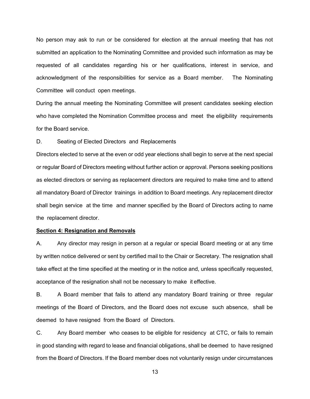No person may ask to run or be considered for election at the annual meeting that has not submitted an application to the Nominating Committee and provided such information as may be requested of all candidates regarding his or her qualifications, interest in service, and acknowledgment of the responsibilities for service as a Board member. The Nominating Committee will conduct open meetings.

During the annual meeting the Nominating Committee will present candidates seeking election who have completed the Nomination Committee process and meet the eligibility requirements for the Board service.

D. Seating of Elected Directors and Replacements

Directors elected to serve at the even or odd year elections shall begin to serve at the next special or regular Board of Directors meeting without further action or approval. Persons seeking positions as elected directors or serving as replacement directors are required to make time and to attend all mandatory Board of Director trainings in addition to Board meetings. Any replacement director shall begin service at the time and manner specified by the Board of Directors acting to name the replacement director.

## **Section 4: Resignation and Removals**

A. Any director may resign in person at a regular or special Board meeting or at any time by written notice delivered or sent by certified mail to the Chair or Secretary. The resignation shall take effect at the time specified at the meeting or in the notice and, unless specifically requested, acceptance of the resignation shall not be necessary to make it effective.

B. A Board member that fails to attend any mandatory Board training or three regular meetings of the Board of Directors, and the Board does not excuse such absence, shall be deemed to have resigned from the Board of Directors.

C. Any Board member who ceases to be eligible for residency at CTC, or fails to remain in good standing with regard to lease and financial obligations, shall be deemed to have resigned from the Board of Directors. If the Board member does not voluntarily resign under circumstances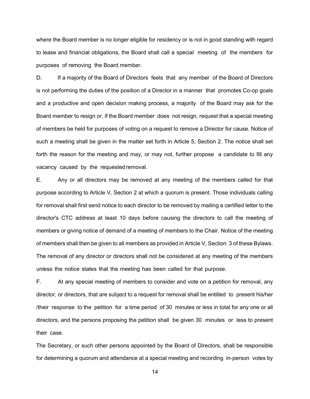where the Board member is no longer eligible for residency or is not in good standing with regard to lease and financial obligations, the Board shall call a special meeting of the members for purposes of removing the Board member.

D. If a majority of the Board of Directors feels that any member of the Board of Directors is not performing the duties of the position of a Director in a manner that promotes Co-op goals and a productive and open decision making process, a majority of the Board may ask for the Board member to resign or, if the Board member does not resign, request that a special meeting of members be held for purposes of voting on a request to remove a Director for cause. Notice of such a meeting shall be given in the matter set forth in Article 5, Section 2. The notice shall set forth the reason for the meeting and may, or may not, further propose a candidate to fill any vacancy caused by the requested removal.

E. Any or all directors may be removed at any meeting of the members called for that purpose according to Article V, Section 2 at which a quorum is present. Those individuals calling for removal shall first send notice to each director to be removed by mailing a certified letter to the director's CTC address at least 10 days before causing the directors to call the meeting of members or giving notice of demand of a meeting of members to the Chair. Notice of the meeting of members shall then be given to all members as provided in Article V, Section 3 of these Bylaws. The removal of any director or directors shall not be considered at any meeting of the members unless the notice states that the meeting has been called for that purpose.

F. At any special meeting of members to consider and vote on a petition for removal, any director, or directors, that are subject to a request for removal shall be entitled to present his/her /their response to the petition for a time period of 30 minutes or less in total for any one or all directors, and the persons proposing the petition shall be given 30 minutes or less to present their case.

The Secretary, or such other persons appointed by the Board of Directors, shall be responsible for determining a quorum and attendance at a special meeting and recording in-person votes by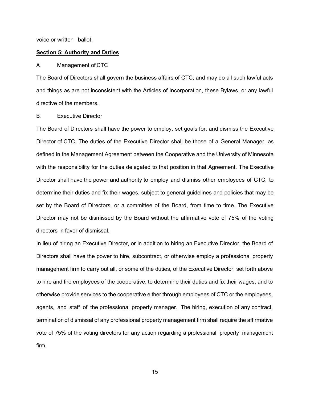voice or written ballot.

## **Section 5: Authority and Duties**

#### A. Management of CTC

The Board of Directors shall govern the business affairs of CTC, and may do all such lawful acts and things as are not inconsistent with the Articles of Incorporation, these Bylaws, or any lawful directive of the members.

#### B. Executive Director

The Board of Directors shall have the power to employ, set goals for, and dismiss the Executive Director of CTC. The duties of the Executive Director shall be those of a General Manager, as defined in the Management Agreement between the Cooperative and the University of Minnesota with the responsibility for the duties delegated to that position in that Agreement. The Executive Director shall have the power and authority to employ and dismiss other employees of CTC, to determine their duties and fix their wages, subject to general guidelines and policies that may be set by the Board of Directors, or a committee of the Board, from time to time. The Executive Director may not be dismissed by the Board without the affirmative vote of 75% of the voting directors in favor of dismissal.

In lieu of hiring an Executive Director, or in addition to hiring an Executive Director, the Board of Directors shall have the power to hire, subcontract, or otherwise employ a professional property management firm to carry out all, or some of the duties, of the Executive Director, set forth above to hire and fire employees of the cooperative, to determine their duties and fix their wages, and to otherwise provide services to the cooperative either through employees of CTC or the employees, agents, and staff of the professional property manager. The hiring, execution of any contract, terminationof dismissal of any professional property management firm shall require the affirmative vote of *7*5% of the voting directors for any action regarding a professional property management firm.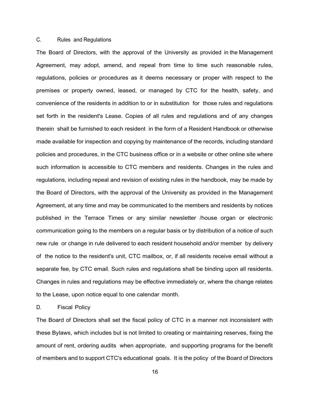## C. Rules and Regulations

The Board of Directors, with the approval of the University as provided in the Management Agreement, may adopt, amend, and repeal from time to time such reasonable rules, regulations, policies or procedures as it deems necessary or proper with respect to the premises or property owned, leased, or managed by CTC for the health, safety, and convenience of the residents in addition to or in substitution for those rules and regulations set forth in the resident's Lease. Copies of all rules and regulations and of any changes therein shall be furnished to each resident in the form of a Resident Handbook or otherwise made available for inspection and copying by maintenance of the records, including standard policies and procedures, in the CTC business office or in a website or other online site where such information is accessible to CTC members and residents. Changes in the rules and regulations, including repeal and revision of existing rules in the handbook, may be made by the Board of Directors, with the approval of the University as provided in the Management Agreement, at any time and may be communicated to the members and residents by notices published in the Terrace Times or any similar newsletter /house organ or electronic communication going to the members on a regular basis or by distribution of a notice of such new rule or change in rule delivered to each resident household and/or member by delivery of the notice to the resident's unit, CTC mailbox, or, if all residents receive email without a separate fee, by CTC email. Such rules and regulations shall be binding upon all residents. Changes in rules and regulations may be effective immediately or, where the change relates to the Lease, upon notice equal to one calendar month.

## D. Fiscal Policy

The Board of Directors shall set the fiscal policy of CTC in a manner not inconsistent with these Bylaws, which includes but is not limited to creating or maintaining reserves, fixing the amount of rent, ordering audits when appropriate, and supporting programs for the benefit of members and to support CTC's educational goals. It is the policy of the Board of Directors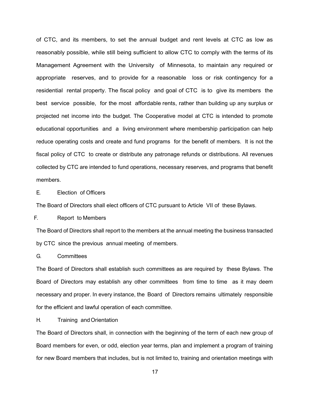of CTC, and its members, to set the annual budget and rent levels at CTC as low as reasonably possible, while still being sufficient to allow CTC to comply with the terms of its Management Agreement with the University of Minnesota, to maintain any required or appropriate reserves, and to provide for a reasonable loss or risk contingency for a residential rental property. The fiscal policy and goal of CTC is to give its members the best service possible, for the most affordable rents, rather than building up any surplus or projected net income into the budget. The Cooperative model at CTC is intended to promote educational opportunities and a living environment where membership participation can help reduce operating costs and create and fund programs for the benefit of members. It is not the fiscal policy of CTC to create or distribute any patronage refunds or distributions. All revenues collected by CTC are intended to fund operations, necessary reserves, and programs that benefit members.

## E. Election of Officers

The Board of Directors shall elect officers of CTC pursuant to Article VII of these Bylaws.

## F. Report to Members

The Board of Directors shall report to the members at the annual meeting the business transacted by CTC since the previous annual meeting of members.

G. Committees

The Board of Directors shall establish such committees as are required by these Bylaws. The Board of Directors may establish any other committees from time to time as it may deem necessary and proper. In every instance, the Board of Directors remains ultimately responsible for the efficient and lawful operation of each committee.

## H. Training and Orientation

The Board of Directors shall, in connection with the beginning of the term of each new group of Board members for even, or odd, election year terms, plan and implement a program of training for new Board members that includes, but is not limited to, training and orientation meetings with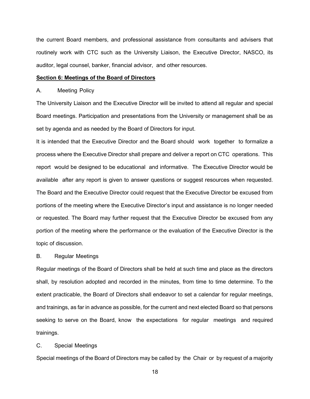the current Board members, and professional assistance from consultants and advisers that routinely work with CTC such as the University Liaison, the Executive Director, NASCO, its auditor, legal counsel, banker, financial advisor, and other resources.

## **Section 6: Meetings of the Board of Directors**

#### A. Meeting Policy

The University Liaison and the Executive Director will be invited to attend all regular and special Board meetings. Participation and presentations from the University or management shall be as set by agenda and as needed by the Board of Directors for input.

It is intended that the Executive Director and the Board should work together to formalize a process where the Executive Director shall prepare and deliver a report on CTC operations. This report would be designed to be educational and informative. The Executive Director would be available after any report is given to answer questions or suggest resources when requested. The Board and the Executive Director could request that the Executive Director be excused from portions of the meeting where the Executive Director's input and assistance is no longer needed or requested. The Board may further request that the Executive Director be excused from any portion of the meeting where the performance or the evaluation of the Executive Director is the topic of discussion.

## B. Regular Meetings

Regular meetings of the Board of Directors shall be held at such time and place as the directors shall, by resolution adopted and recorded in the minutes, from time to time determine. To the extent practicable, the Board of Directors shall endeavor to set a calendar for regular meetings, and trainings, as far in advance as possible, for the current and next elected Board so that persons seeking to serve on the Board, know the expectations for regular meetings and required trainings.

#### C. Special Meetings

Special meetings of the Board of Directors may be called by the Chair or by request of a majority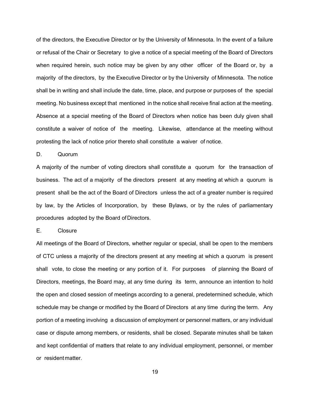of the directors, the Executive Director or by the University of Minnesota. In the event of a failure or refusal of the Chair or Secretary to give a notice of a special meeting of the Board of Directors when required herein, such notice may be given by any other officer of the Board or, by a majority of the directors, by the Executive Director or by the University of Minnesota. The notice shall be in writing and shall include the date, time, place, and purpose or purposes of the special meeting. No business except that mentioned in the notice shall receive final action at the meeting. Absence at a special meeting of the Board of Directors when notice has been duly given shall constitute a waiver of notice of the meeting. Likewise, attendance at the meeting without protesting the lack of notice prior thereto shall constitute a waiver of notice.

#### D. Quorum

A majority of the number of voting directors shall constitute a quorum for the transaction of business. The act of a majority of the directors present at any meeting at which a quorum is present shall be the act of the Board of Directors unless the act of a greater number is required by law, by the Articles of Incorporation, by these Bylaws, or by the rules of parliamentary procedures adopted by the Board of Directors.

## E. Closure

All meetings of the Board of Directors, whether regular or special, shall be open to the members of CTC unless a majority of the directors present at any meeting at which a quorum is present shall vote, to close the meeting or any portion of it. For purposes of planning the Board of Directors, meetings, the Board may, at any time during its term, announce an intention to hold the open and closed session of meetings according to a general, predetermined schedule, which schedule may be change or modified by the Board of Directors at any time during the term. Any portion of a meeting involving a discussion of employment or personnel matters, or any individual case or dispute among members, or residents, shall be closed. Separate minutes shall be taken and kept confidential of matters that relate to any individual employment, personnel, or member or residentmatter.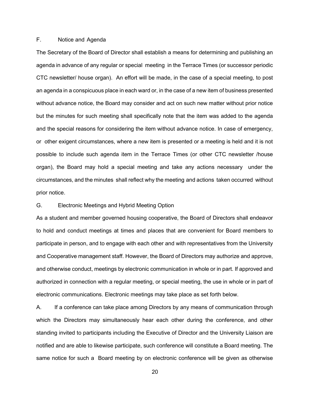## F. Notice and Agenda

The Secretary of the Board of Director shall establish a means for determining and publishing an agenda in advance of any regular or special meeting in the Terrace Times (or successor periodic CTC newsletter/ house organ). An effort will be made, in the case of a special meeting, to post an agenda in a conspicuous place in each ward or, in the case of a new item of business presented without advance notice, the Board may consider and act on such new matter without prior notice but the minutes for such meeting shall specifically note that the item was added to the agenda and the special reasons for considering the item without advance notice. In case of emergency, or other exigent circumstances, where a new item is presented or a meeting is held and it is not possible to include such agenda item in the Terrace Times (or other CTC newsletter /house organ), the Board may hold a special meeting and take any actions necessary under the circumstances, and the minutes shall reflect why the meeting and actions taken occurred without prior notice.

## G. Electronic Meetings and Hybrid Meeting Option

As a student and member governed housing cooperative, the Board of Directors shall endeavor to hold and conduct meetings at times and places that are convenient for Board members to participate in person, and to engage with each other and with representatives from the University and Cooperative management staff. However, the Board of Directors may authorize and approve, and otherwise conduct, meetings by electronic communication in whole or in part. If approved and authorized in connection with a regular meeting, or special meeting, the use in whole or in part of electronic communications. Electronic meetings may take place as set forth below.

A. If a conference can take place among Directors by any means of communication through which the Directors may simultaneously hear each other during the conference, and other standing invited to participants including the Executive of Director and the University Liaison are notified and are able to likewise participate, such conference will constitute a Board meeting. The same notice for such a Board meeting by on electronic conference will be given as otherwise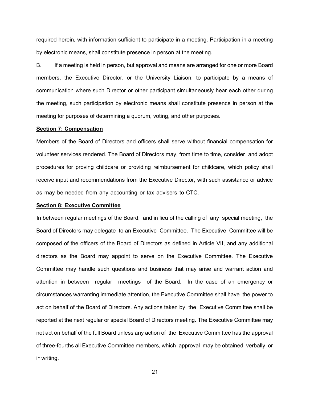required herein, with information sufficient to participate in a meeting. Participation in a meeting by electronic means, shall constitute presence in person at the meeting.

B. If a meeting is held in person, but approval and means are arranged for one or more Board members, the Executive Director, or the University Liaison, to participate by a means of communication where such Director or other participant simultaneously hear each other during the meeting, such participation by electronic means shall constitute presence in person at the meeting for purposes of determining a quorum, voting, and other purposes.

#### **Section 7: Compensation**

Members of the Board of Directors and officers shall serve without financial compensation for volunteer services rendered. The Board of Directors may, from time to time, consider and adopt procedures for proving childcare or providing reimbursement for childcare, which policy shall receive input and recommendations from the Executive Director, with such assistance or advice as may be needed from any accounting or tax advisers to CTC.

### **Section 8: Executive Committee**

In between regular meetings of the Board, and in lieu of the calling of any special meeting, the Board of Directors may delegate to an Executive Committee. The Executive Committee will be composed of the officers of the Board of Directors as defined in Article VII, and any additional directors as the Board may appoint to serve on the Executive Committee. The Executive Committee may handle such questions and business that may arise and warrant action and attention in between regular meetings of the Board. In the case of an emergency or circumstances warranting immediate attention, the Executive Committee shall have the power to act on behalf of the Board of Directors. Any actions taken by the Executive Committee shall be reported at the next regular or special Board of Directors meeting. The Executive Committee may not act on behalf of the full Board unless any action of the Executive Committee has the approval of three-fourths all Executive Committee members, which approval may be obtained verbally or inwriting.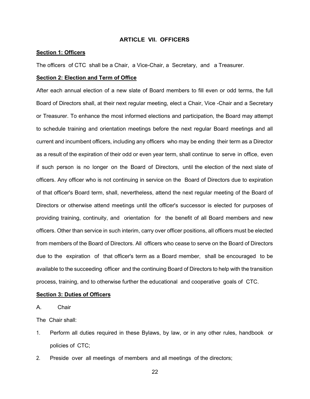## **ARTICLE VII. OFFICERS**

## **Section 1: Officers**

The officers of CTC shall be a Chair, a Vice-Chair, a Secretary, and a Treasurer.

## **Section 2: Election and Term of Office**

After each annual election of a new slate of Board members to fill even or odd terms, the full Board of Directors shall, at their next regular meeting, elect a Chair, Vice -Chair and a Secretary or Treasurer. To enhance the most informed elections and participation, the Board may attempt to schedule training and orientation meetings before the next regular Board meetings and all current and incumbent officers, including any officers who may be ending their term as a Director as a result of the expiration of their odd or even year term, shall continue to serve in office, even if such person is no longer on the Board of Directors, until the election of the next slate of officers. Any officer who is not continuing in service on the Board of Directors due to expiration of that officer's Board term, shall, nevertheless, attend the next regular meeting of the Board of Directors or otherwise attend meetings until the officer's successor is elected for purposes of providing training, continuity, and orientation for the benefit of all Board members and new officers. Other than service in such interim, carry over officer positions, all officers must be elected from members of the Board of Directors. All officers who cease to serve on the Board of Directors due to the expiration of that officer's term as a Board member, shall be encouraged to be available to the succeeding officer and the continuing Board of Directors to help with the transition process, training, and to otherwise further the educational and cooperative goals of CTC.

## **Section 3: Duties of Officers**

A. Chair

The Chair shall:

- 1. Perform all duties required in these Bylaws, by law, or in any other rules, handbook or policies of CTC;
- 2. Preside over all meetings of members and all meetings of the directors;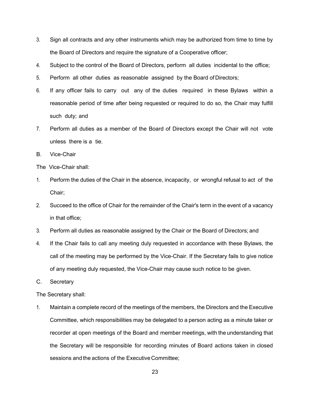- 3. Sign all contracts and any other instruments which may be authorized from time to time by the Board of Directors and require the signature of a Cooperative officer;
- 4. Subject to the control of the Board of Directors, perform all duties incidental to the office;
- 5. Perform all other duties as reasonable assigned by the Board of Directors;
- 6. If any officer fails to carry out any of the duties required in these Bylaws within a reasonable period of time after being requested or required to do so, the Chair may fulfill such duty; and
- 7. Perform all duties as a member of the Board of Directors except the Chair will not vote unless there is a tie.
- B. Vice-Chair
- The Vice-Chair shall:
- 1. Perform the duties of the Chair in the absence, incapacity, or wrongful refusal to act of the Chair;
- 2. Succeed to the office of Chair for the remainder of the Chair's term in the event of a vacancy in that office;
- 3. Perform all duties as reasonable assigned by the Chair or the Board of Directors; and
- 4. If the Chair fails to call any meeting duly requested in accordance with these Bylaws, the call of the meeting may be performed by the Vice-Chair. If the Secretary fails to give notice of any meeting duly requested, the Vice-Chair may cause such notice to be given.
- C. Secretary

The Secretary shall:

1. Maintain a complete record of the meetings of the members, the Directors and the Executive Committee, which responsibilities may be delegated to a person acting as a minute taker or recorder at open meetings of the Board and member meetings, with the understanding that the Secretary will be responsible for recording minutes of Board actions taken in closed sessions and the actions of the Executive Committee;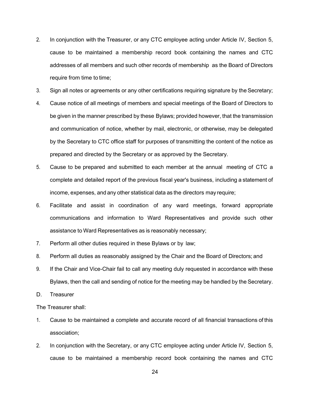- 2. In conjunction with the Treasurer, or any CTC employee acting under Article IV, Section 5, cause to be maintained a membership record book containing the names and CTC addresses of all members and such other records of membership as the Board of Directors require from time to time;
- 3. Sign all notes or agreements or any other certifications requiring signature by the Secretary;
- 4. Cause notice of all meetings of members and special meetings of the Board of Directors to be given in the manner prescribed by these Bylaws; provided however, that the transmission and communication of notice, whether by mail, electronic, or otherwise, may be delegated by the Secretary to CTC office staff for purposes of transmitting the content of the notice as prepared and directed by the Secretary or as approved by the Secretary.
- 5. Cause to be prepared and submitted to each member at the annual meeting of CTC a complete and detailed report of the previous fiscal year's business, including a statement of income, expenses, and any other statistical data as the directors may require;
- 6. Facilitate and assist in coordination of any ward meetings, forward appropriate communications and information to Ward Representatives and provide such other assistance to Ward Representatives as is reasonably necessary;
- 7. Perform all other duties required in these Bylaws or by law;
- 8. Perform all duties as reasonably assigned by the Chair and the Board of Directors; and
- 9. If the Chair and Vice-Chair fail to call any meeting duly requested in accordance with these Bylaws, then the call and sending of notice for the meeting may be handled by the Secretary.
- D. Treasurer

The Treasurer shall:

- 1. Cause to be maintained a complete and accurate record of all financial transactions of this association;
- 2. In conjunction with the Secretary, or any CTC employee acting under Article IV, Section 5, cause to be maintained a membership record book containing the names and CTC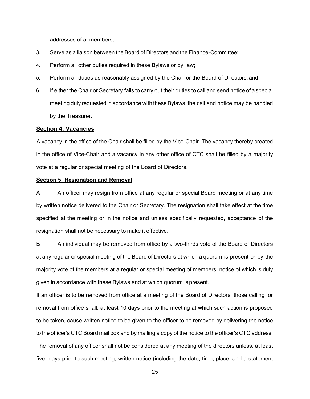addresses of allmembers;

- 3. Serve as a liaison between the Board of Directors and the Finance-Committee;
- 4. Perform all other duties required in these Bylaws or by law;
- 5. Perform all duties as reasonably assigned by the Chair or the Board of Directors; and
- 6. If either the Chair or Secretary fails to carry out their duties to call and send notice of a special meeting duly requested in accordance with theseBylaws, the call and notice may be handled by the Treasurer.

#### **Section 4: Vacancies**

A vacancy in the office of the Chair shall be filled by the Vice-Chair. The vacancy thereby created in the office of Vice-Chair and a vacancy in any other office of CTC shall be filled by a majority vote at a regular or special meeting of the Board of Directors.

## **Section 5: Resignation and Removal**

A. An officer may resign from office at any regular or special Board meeting or at any time by written notice delivered to the Chair or Secretary. The resignation shall take effect at the time specified at the meeting or in the notice and unless specifically requested, acceptance of the resignation shall not be necessary to make it effective.

B. An individual may be removed from office by a two-thirds vote of the Board of Directors at any regular or special meeting of the Board of Directors at which a quorum is present or by the majority vote of the members at a regular or special meeting of members, notice of which is duly given in accordance with these Bylaws and at which quorum is present.

If an officer is to be removed from office at a meeting of the Board of Directors, those calling for removal from office shall, at least 10 days prior to the meeting at which such action is proposed to be taken, cause written notice to be given to the officer to be removed by delivering the notice to the officer's CTC Board mail box and by mailing a copy of the notice to the officer's CTC address. The removal of any officer shall not be considered at any meeting of the directors unless, at least five days prior to such meeting, written notice (including the date, time, place, and a statement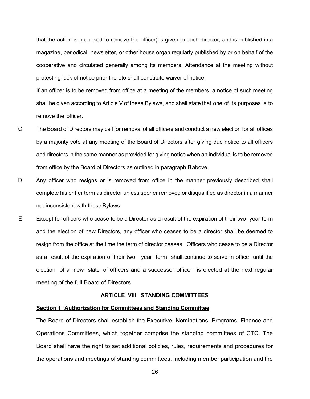that the action is proposed to remove the officer) is given to each director, and is published in a magazine, periodical, newsletter, or other house organ regularly published by or on behalf of the cooperative and circulated generally among its members. Attendance at the meeting without protesting lack of notice prior thereto shall constitute waiver of notice.

If an officer is to be removed from office at a meeting of the members, a notice of such meeting shall be given according to Article V of these Bylaws, and shall state that one of its purposes is to remove the officer.

- C. The Board of Directors may call for removal of all officers and conduct a new election for all offices by a majority vote at any meeting of the Board of Directors after giving due notice to all officers and directors in the same manner as provided for giving notice when an individual is to be removed from office by the Board of Directors as outlined in paragraph Babove.
- D. Any officer who resigns or is removed from office in the manner previously described shall complete his or her term as director unless sooner removed or disqualified as director in a manner not inconsistent with these Bylaws.
- E. Except for officers who cease to be a Director as a result of the expiration of their two year term and the election of new Directors, any officer who ceases to be a director shall be deemed to resign from the office at the time the term of director ceases. Officers who cease to be a Director as a result of the expiration of their two year term shall continue to serve in office until the election of a new slate of officers and a successor officer is elected at the next regular meeting of the full Board of Directors.

## **ARTICLE VIII. STANDING COMMITTEES**

#### <span id="page-30-1"></span><span id="page-30-0"></span>**Section 1: Authorization for Committees and Standing Committee**

The Board of Directors shall establish the Executive, Nominations, Programs, Finance and Operations Committees, which together comprise the standing committees of CTC. The Board shall have the right to set additional policies, rules, requirements and procedures for the operations and meetings of standing committees, including member participation and the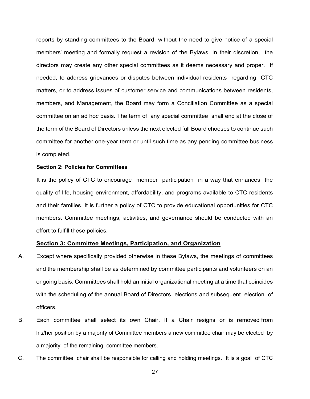reports by standing committees to the Board, without the need to give notice of a special members' meeting and formally request a revision of the Bylaws. In their discretion, the directors may create any other special committees as it deems necessary and proper. If needed, to address grievances or disputes between individual residents regarding CTC matters, or to address issues of customer service and communications between residents, members, and Management, the Board may form a Conciliation Committee as a special committee on an ad hoc basis. The term of any special committee shall end at the close of the term of the Board of Directors unless the next elected full Board chooses to continue such committee for another one-year term or until such time as any pending committee business is completed.

### <span id="page-31-0"></span>**Section 2: Policies for Committees**

It is the policy of CTC to encourage member participation in a way that enhances the quality of life, housing environment, affordability, and programs available to CTC residents and their families. It is further a policy of CTC to provide educational opportunities for CTC members. Committee meetings, activities, and governance should be conducted with an effort to fulfill these policies.

## **Section 3: Committee Meetings, Participation, and Organization**

- A. Except where specifically provided otherwise in these Bylaws, the meetings of committees and the membership shall be as determined by committee participants and volunteers on an ongoing basis. Committees shall hold an initial organizational meeting at a time that coincides with the scheduling of the annual Board of Directors elections and subsequent election of officers.
- B. Each committee shall select its own Chair. If a Chair resigns or is removed from his/her position by a majority of Committee members a new committee chair may be elected by a majority of the remaining committee members.
- C. The committee chair shall be responsible for calling and holding meetings. It is a goal of CTC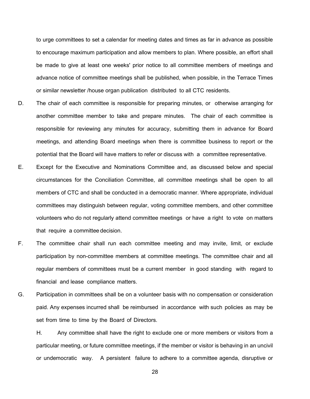to urge committees to set a calendar for meeting dates and times as far in advance as possible to encourage maximum participation and allow members to plan. Where possible, an effort shall be made to give at least one weeks' prior notice to all committee members of meetings and advance notice of committee meetings shall be published, when possible, in the Terrace Times or similar newsletter /house organ publication distributed to all CTC residents.

- D. The chair of each committee is responsible for preparing minutes, or otherwise arranging for another committee member to take and prepare minutes. The chair of each committee is responsible for reviewing any minutes for accuracy, submitting them in advance for Board meetings, and attending Board meetings when there is committee business to report or the potential that the Board will have matters to refer or discuss with a committee representative.
- E. Except for the Executive and Nominations Committee and, as discussed below and special circumstances for the Conciliation Committee, all committee meetings shall be open to all members of CTC and shall be conducted in a democratic manner. Where appropriate, individual committees may distinguish between regular, voting committee members, and other committee volunteers who do not regularly attend committee meetings or have a right to vote on matters that require a committee decision.
- F. The committee chair shall run each committee meeting and may invite, limit, or exclude participation by non-committee members at committee meetings. The committee chair and all regular members of committees must be a current member in good standing with regard to financial and lease compliance matters.
- G. Participation in committees shall be on a volunteer basis with no compensation or consideration paid. Any expenses incurred shall be reimbursed in accordance with such policies as may be set from time to time by the Board of Directors.

H. Any committee shall have the right to exclude one or more members or visitors from a particular meeting, or future committee meetings, if the member or visitor is behaving in an uncivil or undemocratic way. A persistent failure to adhere to a committee agenda, disruptive or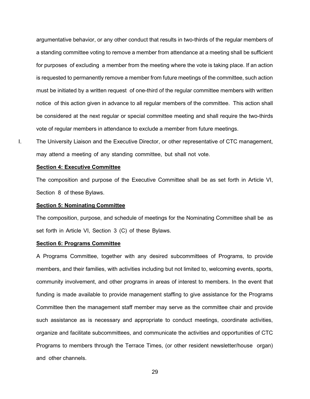argumentative behavior, or any other conduct that results in two-thirds of the regular members of a standing committee voting to remove a member from attendance at a meeting shall be sufficient for purposes of excluding a member from the meeting where the vote is taking place. If an action is requested to permanently remove a member from future meetings of the committee, such action must be initiated by a written request of one-third of the regular committee members with written notice of this action given in advance to all regular members of the committee. This action shall be considered at the next regular or special committee meeting and shall require the two-thirds vote of regular members in attendance to exclude a member from future meetings.

I. The University Liaison and the Executive Director, or other representative of CTC management, may attend a meeting of any standing committee, but shall not vote.

#### **Section 4: Executive Committee**

The composition and purpose of the Executive Committee shall be as set forth in Article VI, Section 8 of these Bylaws.

## **Section 5: Nominating Committee**

The composition, purpose, and schedule of meetings for the Nominating Committee shall be as set forth in Article VI, Section 3 (C) of these Bylaws.

## **Section 6: Programs Committee**

A Programs Committee, together with any desired subcommittees of Programs, to provide members, and their families, with activities including but not limited to, welcoming events, sports, community involvement, and other programs in areas of interest to members. In the event that funding is made available to provide management staffing to give assistance for the Programs Committee then the management staff member may serve as the committee chair and provide such assistance as is necessary and appropriate to conduct meetings, coordinate activities, organize and facilitate subcommittees, and communicate the activities and opportunities of CTC Programs to members through the Terrace Times, (or other resident newsletter/house organ) and other channels.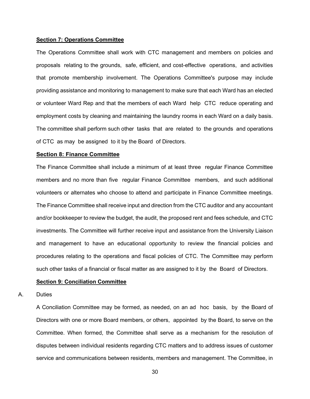#### **Section 7: Operations Committee**

The Operations Committee shall work with CTC management and members on policies and proposals relating to the grounds, safe, efficient, and cost-effective operations, and activities that promote membership involvement. The Operations Committee's purpose may include providing assistance and monitoring to management to make sure that each Ward has an elected or volunteer Ward Rep and that the members of each Ward help CTC reduce operating and employment costs by cleaning and maintaining the laundry rooms in each Ward on a daily basis. The committee shall perform such other tasks that are related to the grounds and operations of CTC as may be assigned to it by the Board of Directors.

#### **Section 8: Finance Committee**

The Finance Committee shall include a minimum of at least three regular Finance Committee members and no more than five regular Finance Committee members, and such additional volunteers or alternates who choose to attend and participate in Finance Committee meetings. The Finance Committee shall receive input and direction from the CTC auditor and any accountant and/or bookkeeper to review the budget, the audit, the proposed rent and fees schedule, and CTC investments. The Committee will further receive input and assistance from the University Liaison and management to have an educational opportunity to review the financial policies and procedures relating to the operations and fiscal policies of CTC. The Committee may perform such other tasks of a financial or fiscal matter as are assigned to it by the Board of Directors.

#### **Section 9: Conciliation Committee**

#### A. Duties

A Conciliation Committee may be formed, as needed, on an ad hoc basis, by the Board of Directors with one or more Board members, or others, appointed by the Board, to serve on the Committee. When formed, the Committee shall serve as a mechanism for the resolution of disputes between individual residents regarding CTC matters and to address issues of customer service and communications between residents, members and management. The Committee, in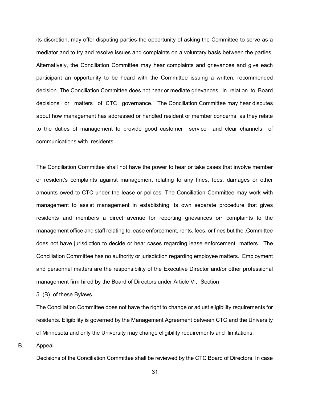its discretion, may offer disputing parties the opportunity of asking the Committee to serve as a mediator and to try and resolve issues and complaints on a voluntary basis between the parties. Alternatively, the Conciliation Committee may hear complaints and grievances and give each participant an opportunity to be heard with the Committee issuing a written, recommended decision. The Conciliation Committee does not hear or mediate grievances in relation to Board decisions or matters of CTC governance. The Conciliation Committee may hear disputes about how management has addressed or handled resident or member concerns, as they relate to the duties of management to provide good customer service and clear channels of communications with residents.

The Conciliation Committee shall not have the power to hear or take cases that involve member or resident's complaints against management relating to any fines, fees, damages or other amounts owed to CTC under the lease or polices. The Conciliation Committee may work with management to assist management in establishing its own separate procedure that gives residents and members a direct avenue for reporting grievances or· complaints to the management office and staff relating to lease enforcement, rents, fees, or fines but the .Committee does not have jurisdiction to decide or hear cases regarding lease enforcement matters. The Conciliation Committee has no authority or jurisdiction regarding employee matters. Employment and personnel matters are the responsibility of the Executive Director and/or other professional management firm hired by the Board of Directors under Article VI, Section

5 (B) of these Bylaws.

The Conciliation Committee does not have the right to change or adjust eligibility requirements for residents. Eligibility is governed by the Management Agreement between CTC and the University of Minnesota and only the University may change eligibility requirements and limitations.

B. Appeal

Decisions of the Conciliation Committee shall be reviewed by the CTC Board of Directors. In case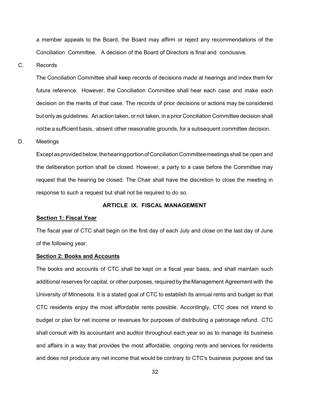a member appeals to the Board, the Board may affirm or reject any recommendations of the Conciliation Committee. A decision of the Board of Directors is final and conclusive.

C. Records

The Conciliation Committee shall keep records of decisions made at hearings and index them for future reference. However, the Conciliation Committee shall hear each case and make each decision on the merits of that case. The records of prior decisions or actions may be considered but only as guidelines. An action taken, or not taken, in a prior Conciliation Committee decision shall notbe a sufficient basis,·absent other reasonable grounds, for a subsequent committee decision.

## D. Meetings

Except as provided below, the hearing portion of Conciliation Committee meetings shall be open and the deliberation portion shall be closed. However, a party to a case before the Committee may request that the hearing be closed. The Chair shall have the discretion to close the meeting in response to such a request but shall not be required to do so.

## **ARTICLE IX. FISCAL MANAGEMENT**

#### **Section 1: Fiscal Year**

The fiscal year of CTC shall begin on the first day of each July and close on the last day of June of the following year.

#### **Section 2: Books and Accounts**

The books and accounts of CTC shall be kept on a fiscal year basis, and shall maintain such additional reserves for capital, or other purposes, required by the Management Agreement with the University of Minnesota. It is a stated goal of CTC to establish its annual rents and budget so that CTC residents enjoy the most affordable rents possible. Accordingly, CTC does not intend to budget or plan for net income or revenues for purposes of distributing a patronage refund. CTC shall consult with its accountant and auditor throughout each year so as to manage its business and affairs in a way that provides the most affordable, ongoing rents and services for residents and does not produce any net income that would be contrary to CTC's business purpose and tax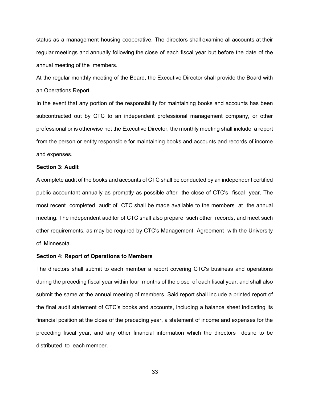status as a management housing cooperative. The directors shall examine all accounts at their regular meetings and annually following the close of each fiscal year but before the date of the annual meeting of the members.

At the regular monthly meeting of the Board, the Executive Director shall provide the Board with an Operations Report.

In the event that any portion of the responsibility for maintaining books and accounts has been subcontracted out by CTC to an independent professional management company, or other professional or is otherwise not the Executive Director, the monthly meeting shall include a report from the person or entity responsible for maintaining books and accounts and records of income and expenses.

#### **Section 3: Audit**

A complete audit of the books and accounts of CTC shall be conducted by an independent certified public accountant annually as promptly as possible after the close of CTC's fiscal year. The most recent completed audit of CTC shall be made available to the members at the annual meeting. The independent auditor of CTC shall also prepare such other records, and meet such other requirements, as may be required by CTC's Management Agreement with the University of Minnesota.

#### **Section 4: Report of Operations to Members**

The directors shall submit to each member a report covering CTC's business and operations during the preceding fiscal year within four months of the close of each fiscal year, and shall also submit the same at the annual meeting of members. Said report shall include a printed report of the final audit statement of CTC's books and accounts, including a balance sheet indicating its financial position at the close of the preceding year, a statement of income and expenses for the preceding fiscal year, and any other financial information which the directors desire to be distributed to each member.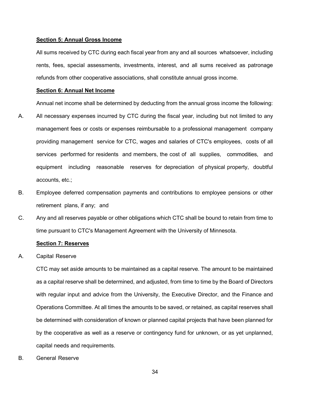#### **Section 5: Annual Gross Income**

All sums received by CTC during each fiscal year from any and all sources whatsoever, including rents, fees, special assessments, investments, interest, and all sums received as patronage refunds from other cooperative associations, shall constitute annual gross income.

#### **Section 6: Annual Net Income**

Annual net income shall be determined by deducting from the annual gross income the following:

- A. All necessary expenses incurred by CTC during the fiscal year, including but not limited to any management fees or costs or expenses reimbursable to a professional management company providing management service for CTC, wages and salaries of CTC's employees, costs of all services performed for residents and members, the cost of all supplies, commodities, and equipment including reasonable reserves for depreciation of physical property, doubtful accounts, etc.;
- B. Employee deferred compensation payments and contributions to employee pensions or other retirement plans, if any; and
- C. Any and all reserves payable or other obligations which CTC shall be bound to retain from time to time pursuant to CTC's Management Agreement with the University of Minnesota.

## **Section 7: Reserves**

A. Capital Reserve

CTC may set aside amounts to be maintained as a capital reserve. The amount to be maintained as a capital reserve shall be determined, and adjusted, from time to time by the Board of Directors with regular input and advice from the University, the Executive Director, and the Finance and Operations Committee. At all times the amounts to be saved, or retained, as capital reserves shall be determined with consideration of known or planned capital projects that have been planned for by the cooperative as well as a reserve or contingency fund for unknown, or as yet unplanned, capital needs and requirements.

B. General Reserve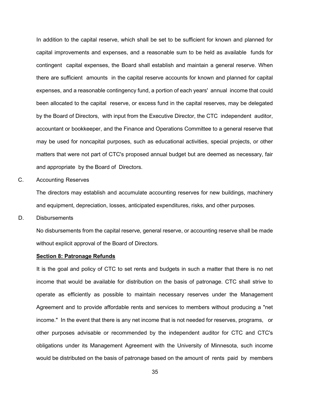In addition to the capital reserve, which shall be set to be sufficient for known and planned for capital improvements and expenses, and a reasonable sum to be held as available funds for contingent capital expenses, the Board shall establish and maintain a general reserve. When there are sufficient amounts in the capital reserve accounts for known and planned for capital expenses, and a reasonable contingency fund, a portion of each years' annual income that could been allocated to the capital reserve, or excess fund in the capital reserves, may be delegated by the Board of Directors, with input from the Executive Director, the CTC independent auditor, accountant or bookkeeper, and the Finance and Operations Committee to a general reserve that may be used for noncapital purposes, such as educational activities, special projects, or other matters that were not part of CTC's proposed annual budget but are deemed as necessary, fair and appropriate by the Board of Directors.

C. Accounting Reserves

The directors may establish and accumulate accounting reserves for new buildings, machinery and equipment, depreciation, losses, anticipated expenditures, risks, and other purposes.

D. Disbursements

No disbursements from the capital reserve, general reserve, or accounting reserve shall be made without explicit approval of the Board of Directors.

#### **Section 8: Patronage Refunds**

It is the goal and policy of CTC to set rents and budgets in such a matter that there is no net income that would be available for distribution on the basis of patronage. CTC shall strive to operate as efficiently as possible to maintain necessary reserves under the Management Agreement and to provide affordable rents and services to members without producing a "net income." In the event that there is any net income that is not needed for reserves, programs, or other purposes advisable or recommended by the independent auditor for CTC and CTC's obligations under its Management Agreement with the University of Minnesota, such income would be distributed on the basis of patronage based on the amount of rents paid by members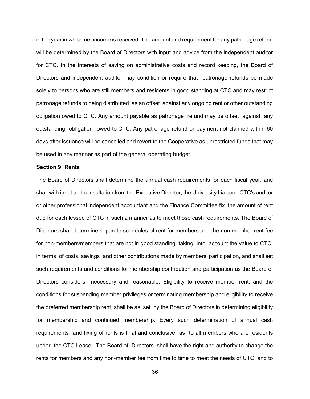in the year in which net income is received. The amount and requirement for any patronage refund will be determined by the Board of Directors with input and advice from the independent auditor for CTC. In the interests of saving on administrative costs and record keeping, the Board of Directors and independent auditor may condition or require that patronage refunds be made solely to persons who are still members and residents in good standing at CTC and may restrict patronage refunds to being distributed as an offset against any ongoing rent or other outstanding obligation owed to CTC. Any amount payable as patronage refund may be offset against any outstanding obligation owed to CTC. Any patronage refund or payment not claimed within 60 days after issuance will be cancelled and revert to the Cooperative as unrestricted funds that may be used in any manner as part of the general operating budget.

## **Section 9: Rents**

The Board of Directors shall determine the annual cash requirements for each fiscal year, and shall with input and consultation from the Executive Director, the University Liaison, CTC's auditor or other professional independent accountant and the Finance Committee fix the amount of rent due for each lessee of CTC in such a manner as to meet those cash requirements. The Board of Directors shall determine separate schedules of rent for members and the non-member rent fee for non-members/members that are not in good standing taking into account the value to CTC, in terms of costs savings and other contributions made by members' participation, and shall set such requirements and conditions for membership contribution and participation as the Board of Directors considers necessary and reasonable. Eligibility to receive member rent, and the conditions for suspending member privileges or terminating membership and eligibility to receive the preferred membership rent, shall be as set by the Board of Directors in determining eligibility for membership and continued membership. Every such determination of annual cash requirements and fixing of rents is final and conclusive as to all members who are residents under the CTC Lease. The Board of Directors shall have the right and authority to change the rents for members and any non-member fee from time to time to meet the needs of CTC, and to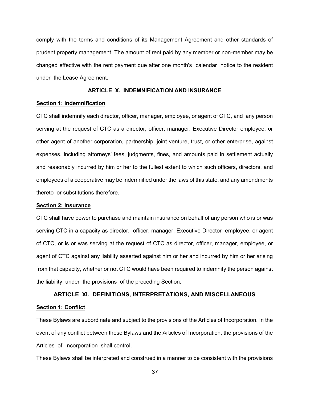comply with the terms and conditions of its Management Agreement and other standards of prudent property management. The amount of rent paid by any member or non-member may be changed effective with the rent payment due after one month's calendar notice to the resident under the Lease Agreement.

## **ARTICLE X. INDEMNIFICATION AND INSURANCE**

## **Section 1: Indemnification**

CTC shall indemnify each director, officer, manager, employee, or agent of CTC, and any person serving at the request of CTC as a director, officer, manager, Executive Director employee, or other agent of another corporation, partnership, joint venture, trust, or other enterprise, against expenses, including attorneys' fees, judgments, fines, and amounts paid in settlement actually and reasonably incurred by him or her to the fullest extent to which such officers, directors, and employees of a cooperative may be indemnified under the laws of this state, and any amendments thereto or substitutions therefore.

## **Section 2: Insurance**

CTC shall have power to purchase and maintain insurance on behalf of any person who is or was serving CTC in a capacity as director, officer, manager, Executive Director employee, or agent of CTC, or is or was serving at the request of CTC as director, officer, manager, employee, or agent of CTC against any liability asserted against him or her and incurred by him or her arising from that capacity, whether or not CTC would have been required to indemnify the person against the liability under the provisions of the preceding Section.

## **ARTICLE XI. DEFINITIONS, INTERPRETATIONS, AND MISCELLANEOUS Section 1: Conflict**

These Bylaws are subordinate and subject to the provisions of the Articles of Incorporation. In the event of any conflict between these Bylaws and the Articles of Incorporation, the provisions of the Articles of Incorporation shall control.

These Bylaws shall be interpreted and construed in a manner to be consistent with the provisions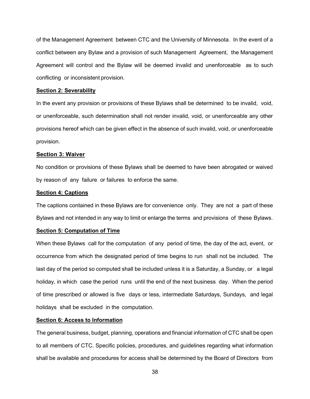of the Management Agreement between CTC and the University of Minnesota. In the event of a conflict between any Bylaw and a provision of such Management Agreement, the Management Agreement will control and the Bylaw will be deemed invalid and unenforceable as to such conflicting or inconsistent provision.

#### **Section 2: Severability**

In the event any provision or provisions of these Bylaws shall be determined to be invalid, void, or unenforceable, such determination shall not render invalid, void, or unenforceable any other provisions hereof which can be given effect in the absence of such invalid, void, or unenforceable provision.

#### **Section 3: Waiver**

No condition or provisions of these Bylaws shall be deemed to have been abrogated or waived by reason of any failure or failures to enforce the same.

## **Section 4: Captions**

The captions contained in these Bylaws are for convenience only. They are not a part of these Bylaws and not intended in any way to limit or enlarge the terms and provisions of these Bylaws.

## **Section 5: Computation of Time**

When these Bylaws call for the computation of any period of time, the day of the act, event, or occurrence from which the designated period of time begins to run shall not be included. The last day of the period so computed shall be included unless it is a Saturday, a Sunday, or a legal holiday, in which case the period runs until the end of the next business day. When the period of time prescribed or allowed is five days or less, intermediate Saturdays, Sundays, and legal holidays shall be excluded in the computation.

## **Section 6: Access to Information**

The general business, budget, planning, operations and financial information of CTC shall be open to all members of CTC. Specific policies, procedures, and guidelines regarding what information shall be available and procedures for access shall be determined by the Board of Directors from